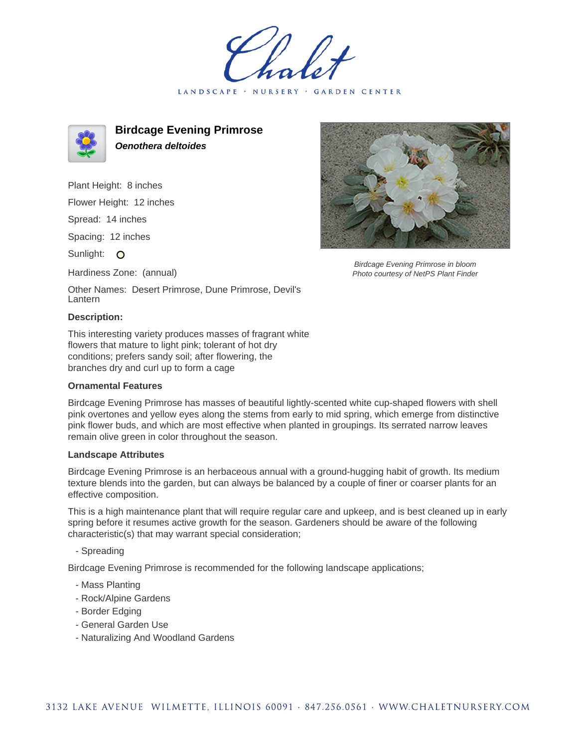LANDSCAPE · NURSERY GARDEN CENTER



**Birdcage Evening Primrose Oenothera deltoides**

Plant Height: 8 inches

Flower Height: 12 inches

Spread: 14 inches

Spacing: 12 inches

Sunlight: O

Hardiness Zone: (annual)

Birdcage Evening Primrose in bloom Photo courtesy of NetPS Plant Finder

Other Names: Desert Primrose, Dune Primrose, Devil's Lantern

## **Description:**

This interesting variety produces masses of fragrant white flowers that mature to light pink; tolerant of hot dry conditions; prefers sandy soil; after flowering, the branches dry and curl up to form a cage

## **Ornamental Features**

Birdcage Evening Primrose has masses of beautiful lightly-scented white cup-shaped flowers with shell pink overtones and yellow eyes along the stems from early to mid spring, which emerge from distinctive pink flower buds, and which are most effective when planted in groupings. Its serrated narrow leaves remain olive green in color throughout the season.

## **Landscape Attributes**

Birdcage Evening Primrose is an herbaceous annual with a ground-hugging habit of growth. Its medium texture blends into the garden, but can always be balanced by a couple of finer or coarser plants for an effective composition.

This is a high maintenance plant that will require regular care and upkeep, and is best cleaned up in early spring before it resumes active growth for the season. Gardeners should be aware of the following characteristic(s) that may warrant special consideration;

- Spreading

Birdcage Evening Primrose is recommended for the following landscape applications;

- Mass Planting
- Rock/Alpine Gardens
- Border Edging
- General Garden Use
- Naturalizing And Woodland Gardens